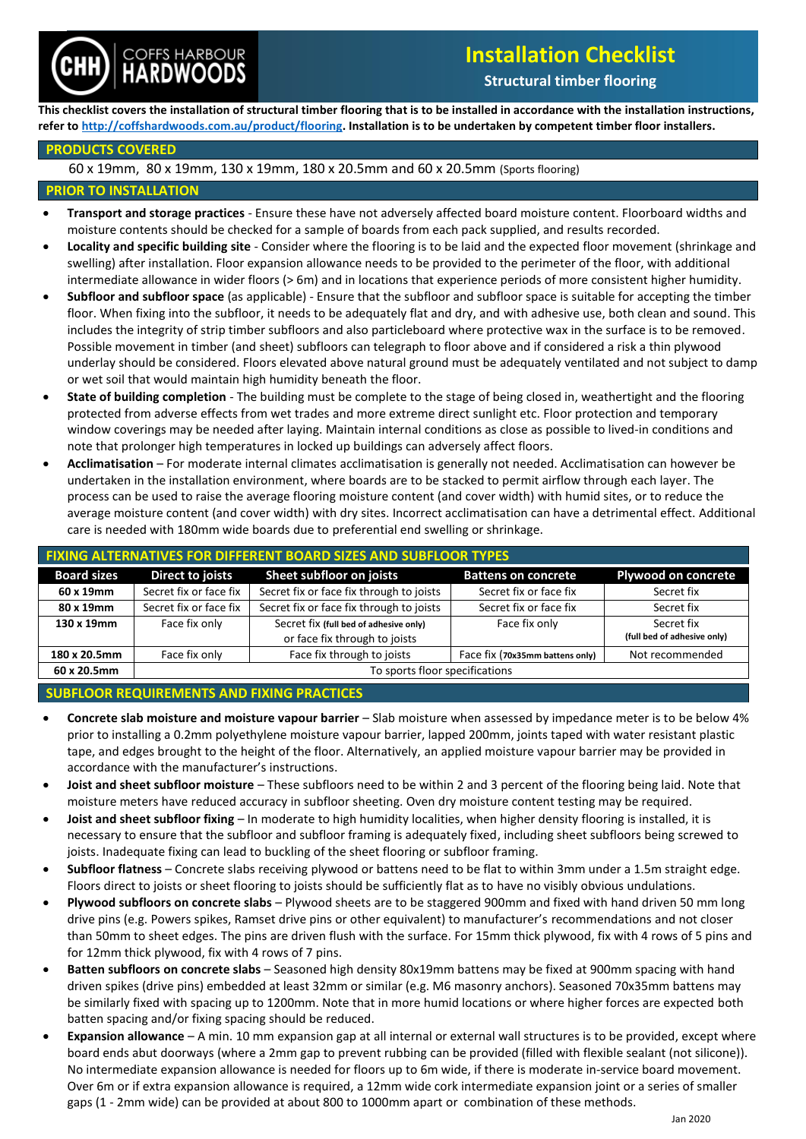

# **Installation Checklist**

**Structural timber flooring**

**This checklist covers the installation of structural timber flooring that is to be installed in accordance with the installation instructions, refer t[o http://coffshardwoods.com.au/product/flooring.](http://coffshardwoods.com.au/product/flooring/) Installation is to be undertaken by competent timber floor installers.**

### **PRODUCTS COVERED**

60 x 19mm, 80 x 19mm, 130 x 19mm, 180 x 20.5mm and 60 x 20.5mm (Sports flooring)

## **PRIOR TO INSTALLATION**

- **Transport and storage practices** Ensure these have not adversely affected board moisture content. Floorboard widths and moisture contents should be checked for a sample of boards from each pack supplied, and results recorded.
- **Locality and specific building site** Consider where the flooring is to be laid and the expected floor movement (shrinkage and swelling) after installation. Floor expansion allowance needs to be provided to the perimeter of the floor, with additional intermediate allowance in wider floors (> 6m) and in locations that experience periods of more consistent higher humidity.
- **Subfloor and subfloor space** (as applicable) Ensure that the subfloor and subfloor space is suitable for accepting the timber floor. When fixing into the subfloor, it needs to be adequately flat and dry, and with adhesive use, both clean and sound. This includes the integrity of strip timber subfloors and also particleboard where protective wax in the surface is to be removed. Possible movement in timber (and sheet) subfloors can telegraph to floor above and if considered a risk a thin plywood underlay should be considered. Floors elevated above natural ground must be adequately ventilated and not subject to damp or wet soil that would maintain high humidity beneath the floor.
- **State of building completion** The building must be complete to the stage of being closed in, weathertight and the flooring protected from adverse effects from wet trades and more extreme direct sunlight etc. Floor protection and temporary window coverings may be needed after laying. Maintain internal conditions as close as possible to lived-in conditions and note that prolonger high temperatures in locked up buildings can adversely affect floors.
- **Acclimatisation** For moderate internal climates acclimatisation is generally not needed. Acclimatisation can however be undertaken in the installation environment, where boards are to be stacked to permit airflow through each layer. The process can be used to raise the average flooring moisture content (and cover width) with humid sites, or to reduce the average moisture content (and cover width) with dry sites. Incorrect acclimatisation can have a detrimental effect. Additional care is needed with 180mm wide boards due to preferential end swelling or shrinkage.

| <b>FIXING ALTERNATIVES FOR DIFFERENT BOARD SIZES AND SUBFLOOR TYPES</b> |                                |                                          |                                 |                             |
|-------------------------------------------------------------------------|--------------------------------|------------------------------------------|---------------------------------|-----------------------------|
| <b>Board sizes</b>                                                      | <b>Direct to joists</b>        | Sheet subfloor on joists                 | <b>Battens on concrete</b>      | <b>Plywood on concrete</b>  |
| 60 x 19mm                                                               | Secret fix or face fix         | Secret fix or face fix through to joists | Secret fix or face fix          | Secret fix                  |
| 80 x 19mm                                                               | Secret fix or face fix         | Secret fix or face fix through to joists | Secret fix or face fix          | Secret fix                  |
| 130 x 19mm                                                              | Face fix only                  | Secret fix (full bed of adhesive only)   | Face fix only                   | Secret fix                  |
|                                                                         |                                | or face fix through to joists            |                                 | (full bed of adhesive only) |
| 180 x 20.5mm                                                            | Face fix only                  | Face fix through to joists               | Face fix (70x35mm battens only) | Not recommended             |
| 60 x 20.5mm                                                             | To sports floor specifications |                                          |                                 |                             |

### **SUBFLOOR REQUIREMENTS AND FIXING PRACTICES**

- **Concrete slab moisture and moisture vapour barrier**  Slab moisture when assessed by impedance meter is to be below 4% prior to installing a 0.2mm polyethylene moisture vapour barrier, lapped 200mm, joints taped with water resistant plastic tape, and edges brought to the height of the floor. Alternatively, an applied moisture vapour barrier may be provided in accordance with the manufacturer's instructions.
- **Joist and sheet subfloor moisture**  These subfloors need to be within 2 and 3 percent of the flooring being laid. Note that moisture meters have reduced accuracy in subfloor sheeting. Oven dry moisture content testing may be required.
- **Joist and sheet subfloor fixing** In moderate to high humidity localities, when higher density flooring is installed, it is necessary to ensure that the subfloor and subfloor framing is adequately fixed, including sheet subfloors being screwed to joists. Inadequate fixing can lead to buckling of the sheet flooring or subfloor framing.
- **Subfloor flatness**  Concrete slabs receiving plywood or battens need to be flat to within 3mm under a 1.5m straight edge. Floors direct to joists or sheet flooring to joists should be sufficiently flat as to have no visibly obvious undulations.
- **Plywood subfloors on concrete slabs** Plywood sheets are to be staggered 900mm and fixed with hand driven 50 mm long drive pins (e.g. Powers spikes, Ramset drive pins or other equivalent) to manufacturer's recommendations and not closer than 50mm to sheet edges. The pins are driven flush with the surface. For 15mm thick plywood, fix with 4 rows of 5 pins and for 12mm thick plywood, fix with 4 rows of 7 pins.
- **Batten subfloors on concrete slabs** Seasoned high density 80x19mm battens may be fixed at 900mm spacing with hand driven spikes (drive pins) embedded at least 32mm or similar (e.g. M6 masonry anchors). Seasoned 70x35mm battens may be similarly fixed with spacing up to 1200mm. Note that in more humid locations or where higher forces are expected both batten spacing and/or fixing spacing should be reduced.
- **Expansion allowance** A min. 10 mm expansion gap at all internal or external wall structures is to be provided, except where board ends abut doorways (where a 2mm gap to prevent rubbing can be provided (filled with flexible sealant (not silicone)). No intermediate expansion allowance is needed for floors up to 6m wide, if there is moderate in-service board movement. Over 6m or if extra expansion allowance is required, a 12mm wide cork intermediate expansion joint or a series of smaller gaps (1 - 2mm wide) can be provided at about 800 to 1000mm apart or combination of these methods.